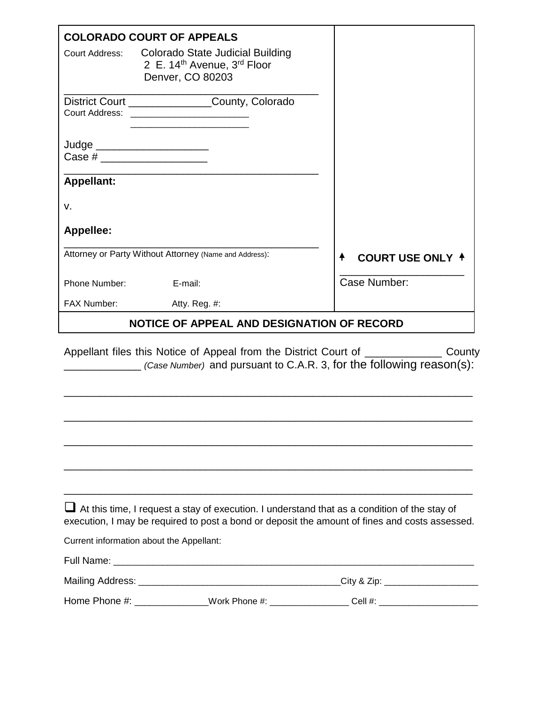|                   | <b>COLORADO COURT OF APPEALS</b>                                                                                                                                                                      |                                   |
|-------------------|-------------------------------------------------------------------------------------------------------------------------------------------------------------------------------------------------------|-----------------------------------|
|                   | Court Address: Colorado State Judicial Building<br>2 E. 14th Avenue, 3rd Floor<br>Denver, CO 80203                                                                                                    |                                   |
|                   | District Court ________________County, Colorado                                                                                                                                                       |                                   |
|                   | Judge _______________________<br>Case #                                                                                                                                                               |                                   |
| <b>Appellant:</b> |                                                                                                                                                                                                       |                                   |
| v.                |                                                                                                                                                                                                       |                                   |
| <b>Appellee:</b>  |                                                                                                                                                                                                       |                                   |
|                   | Attorney or Party Without Attorney (Name and Address):                                                                                                                                                | <b>COURT USE ONLY 4</b>           |
| Phone Number:     | E-mail:                                                                                                                                                                                               | Case Number:                      |
| FAX Number:       | Atty. Reg. #:                                                                                                                                                                                         |                                   |
|                   | NOTICE OF APPEAL AND DESIGNATION OF RECORD                                                                                                                                                            |                                   |
|                   | Appellant files this Notice of Appeal from the District Court of ______________<br>(Case Number) and pursuant to C.A.R. 3, for the following reason(s):                                               | County                            |
|                   |                                                                                                                                                                                                       |                                   |
|                   |                                                                                                                                                                                                       |                                   |
|                   |                                                                                                                                                                                                       |                                   |
|                   |                                                                                                                                                                                                       |                                   |
|                   | $\Box$ At this time, I request a stay of execution. I understand that as a condition of the stay of<br>execution, I may be required to post a bond or deposit the amount of fines and costs assessed. |                                   |
|                   | Current information about the Appellant:                                                                                                                                                              |                                   |
|                   |                                                                                                                                                                                                       |                                   |
|                   |                                                                                                                                                                                                       | _City & Zip: ____________________ |

Home Phone #: \_\_\_\_\_\_\_\_\_\_\_\_\_\_\_\_Work Phone #: \_\_\_\_\_\_\_\_\_\_\_\_\_\_\_\_\_\_\_Cell #: \_\_\_\_\_\_\_\_\_\_\_\_\_\_\_\_\_\_\_\_\_\_\_\_\_\_\_\_\_